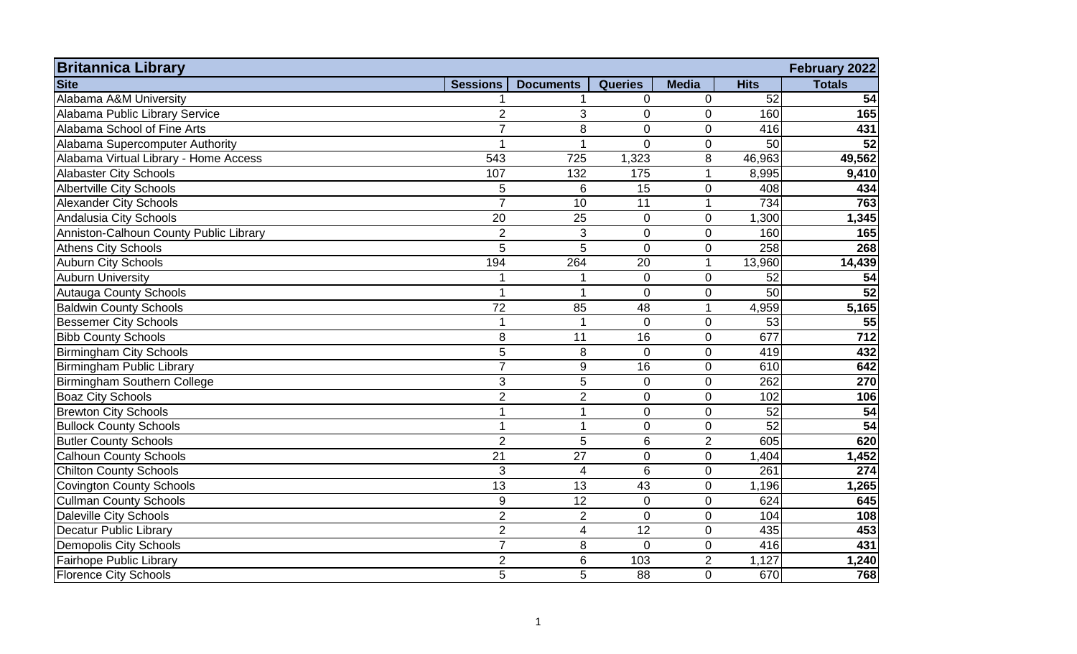| <b>Britannica Library</b><br><b>Site</b> | <b>Sessions</b>  | <b>Documents</b> | <b>Queries</b> | <b>Media</b>   | <b>Hits</b>     | February 2022<br><b>Totals</b> |
|------------------------------------------|------------------|------------------|----------------|----------------|-----------------|--------------------------------|
| Alabama A&M University                   |                  |                  | $\overline{0}$ | $\overline{0}$ | 52              | 54                             |
| Alabama Public Library Service           | $\overline{2}$   | 3                | $\overline{0}$ | $\Omega$       | 160             | 165                            |
| Alabama School of Fine Arts              | $\overline{7}$   | 8                | 0              | $\overline{0}$ | 416             | 431                            |
| Alabama Supercomputer Authority          |                  | 1                | $\overline{0}$ | 0              | 50              | $\overline{52}$                |
| Alabama Virtual Library - Home Access    | 543              | 725              | 1,323          | 8              | 46,963          | 49,562                         |
| <b>Alabaster City Schools</b>            | 107              | 132              | 175            |                | 8,995           | 9,410                          |
| <b>Albertville City Schools</b>          | 5                | 6                | 15             | 0              | 408             | 434                            |
| <b>Alexander City Schools</b>            | $\overline{7}$   | 10               | 11             |                | 734             | 763                            |
| Andalusia City Schools                   | 20               | 25               | $\overline{0}$ | $\overline{0}$ | 1,300           | 1,345                          |
| Anniston-Calhoun County Public Library   | $\overline{2}$   | 3                | $\overline{0}$ | $\overline{0}$ | 160             | 165                            |
| <b>Athens City Schools</b>               | 5                | 5                | $\overline{0}$ | $\overline{0}$ | 258             | 268                            |
| <b>Auburn City Schools</b>               | 194              | 264              | 20             |                | 13,960          | 14,439                         |
| <b>Auburn University</b>                 |                  |                  | $\Omega$       | $\overline{0}$ | 52              | 54                             |
| <b>Autauga County Schools</b>            |                  | $\mathbf 1$      | $\overline{0}$ | $\overline{0}$ | 50              | 52                             |
| <b>Baldwin County Schools</b>            | 72               | 85               | 48             |                | 4,959           | 5,165                          |
| Bessemer City Schools                    |                  | $\overline{1}$   | $\overline{0}$ | $\overline{0}$ | 53              | $\overline{55}$                |
| <b>Bibb County Schools</b>               | 8                | 11               | 16             | $\overline{0}$ | 677             | $\frac{1}{712}$                |
| <b>Birmingham City Schools</b>           | 5                | 8                | $\mathbf 0$    | $\overline{0}$ | 419             | 432                            |
| <b>Birmingham Public Library</b>         | $\overline{7}$   | 9                | 16             | $\overline{0}$ | 610             | 642                            |
| <b>Birmingham Southern College</b>       | 3                | 5                | $\overline{0}$ | $\overline{0}$ | 262             | 270                            |
| <b>Boaz City Schools</b>                 | $\overline{2}$   | $\overline{2}$   | $\overline{0}$ | $\Omega$       | 102             | 106                            |
| <b>Brewton City Schools</b>              |                  | 1                | $\overline{0}$ | 0              | 52              | 54                             |
| <b>Bullock County Schools</b>            |                  | 1                | $\overline{0}$ | $\overline{0}$ | $\overline{52}$ | $\overline{54}$                |
| <b>Butler County Schools</b>             | $\overline{2}$   | 5                | 6              | $\overline{2}$ | 605             | 620                            |
| <b>Calhoun County Schools</b>            | 21               | 27               | $\overline{0}$ | $\overline{0}$ | 1,404           | 1,452                          |
| <b>Chilton County Schools</b>            | 3                | $\overline{4}$   | 6              | $\overline{0}$ | 261             | 274                            |
| <b>Covington County Schools</b>          | $\overline{13}$  | $\overline{13}$  | 43             | 0              | 1,196           | 1,265                          |
| <b>Cullman County Schools</b>            | $\boldsymbol{9}$ | 12               | $\overline{0}$ | $\overline{0}$ | 624             | 645                            |
| <b>Daleville City Schools</b>            | $\overline{2}$   | $\overline{2}$   | $\Omega$       | $\mathbf 0$    | 104             | 108                            |
| <b>Decatur Public Library</b>            | $\overline{2}$   | 4                | 12             | $\overline{0}$ | 435             | 453                            |
| <b>Demopolis City Schools</b>            | $\overline{7}$   | 8                | $\Omega$       | $\overline{0}$ | 416             | 431                            |
| Fairhope Public Library                  | $\overline{2}$   | 6                | 103            | $\overline{2}$ | 1,127           | 1,240                          |
| <b>Florence City Schools</b>             | 5                | 5                | 88             | $\Omega$       | 670             | 768                            |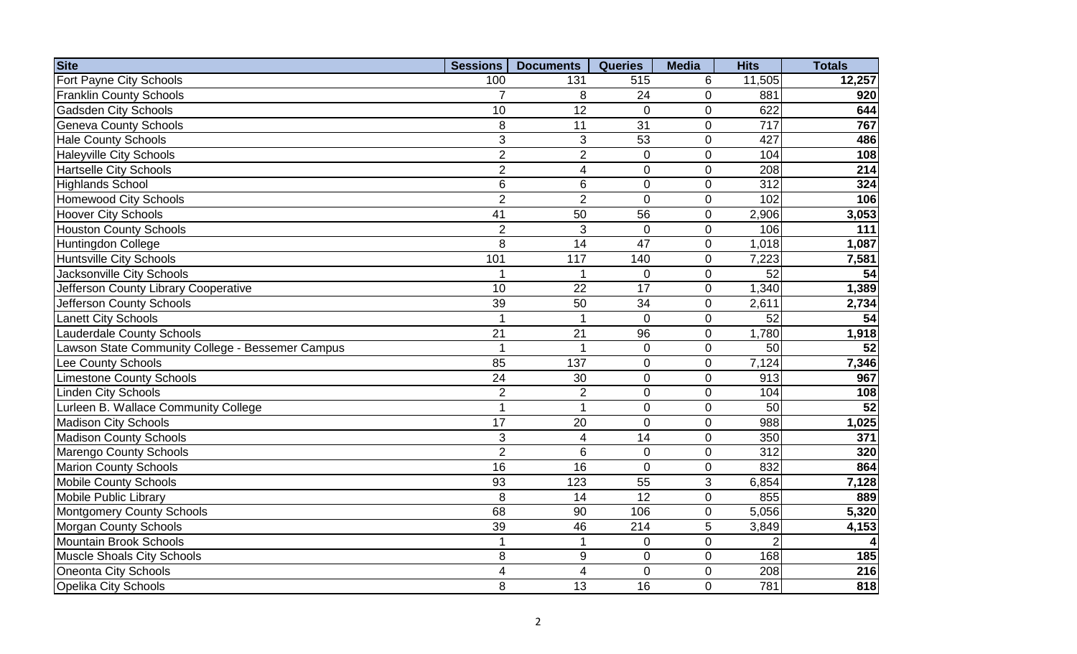| <b>Site</b>                                      | <b>Sessions</b> | <b>Documents</b> | <b>Queries</b>   | <b>Media</b>   | <b>Hits</b>     | <b>Totals</b>   |
|--------------------------------------------------|-----------------|------------------|------------------|----------------|-----------------|-----------------|
| Fort Payne City Schools                          | 100             | 131              | 515              | 6              | 11,505          | 12,257          |
| <b>Franklin County Schools</b>                   | $\overline{7}$  | 8                | 24               | $\mathbf{0}$   | 881             | 920             |
| <b>Gadsden City Schools</b>                      | 10              | 12               | $\Omega$         | $\overline{0}$ | 622             | 644             |
| <b>Geneva County Schools</b>                     | 8               | 11               | 31               | $\overline{0}$ | 717             | 767             |
| <b>Hale County Schools</b>                       | 3               | 3                | 53               | $\overline{0}$ | 427             | 486             |
| <b>Haleyville City Schools</b>                   | $\overline{2}$  | $\overline{2}$   | $\overline{0}$   | $\overline{0}$ | 104             | 108             |
| <b>Hartselle City Schools</b>                    | $\overline{2}$  | $\overline{4}$   | $\overline{0}$   | $\overline{0}$ | 208             | 214             |
| <b>Highlands School</b>                          | 6               | 6                | $\boldsymbol{0}$ | $\pmb{0}$      | 312             | 324             |
| <b>Homewood City Schools</b>                     | $\overline{2}$  | $\overline{2}$   | $\mathbf 0$      | $\mathbf 0$    | 102             | 106             |
| <b>Hoover City Schools</b>                       | 41              | 50               | 56               | $\mathbf 0$    | 2,906           | 3,053           |
| <b>Houston County Schools</b>                    | $\overline{2}$  | 3                | $\mathbf 0$      | $\mathbf 0$    | 106             | 111             |
| <b>Huntingdon College</b>                        | 8               | 14               | 47               | $\mathbf 0$    | 1,018           | 1,087           |
| <b>Huntsville City Schools</b>                   | 101             | 117              | 140              | $\mathbf 0$    | 7,223           | 7,581           |
| Jacksonville City Schools                        | 1               |                  | $\mathbf 0$      | $\mathbf 0$    | $\overline{52}$ | $\overline{54}$ |
| Jefferson County Library Cooperative             | 10              | 22               | 17               | $\mathbf 0$    | 1,340           | 1,389           |
| <b>Jefferson County Schools</b>                  | 39              | 50               | 34               | $\mathbf 0$    | 2,611           | 2,734           |
| <b>Lanett City Schools</b>                       | $\mathbf{1}$    |                  | $\overline{0}$   | $\mathbf 0$    | 52              | 54              |
| <b>Lauderdale County Schools</b>                 | $\overline{21}$ | $\overline{21}$  | 96               | $\overline{0}$ | 1,780           | 1,918           |
| Lawson State Community College - Bessemer Campus | $\overline{1}$  |                  | $\mathbf 0$      | $\mathbf 0$    | 50              | 52              |
| <b>Lee County Schools</b>                        | 85              | 137              | $\overline{0}$   | $\mathbf 0$    | 7,124           | 7,346           |
| <b>Limestone County Schools</b>                  | 24              | 30               | 0                | $\mathbf 0$    | 913             | 967             |
| Linden City Schools                              | $\overline{2}$  | $\overline{2}$   | $\overline{0}$   | $\overline{0}$ | 104             | 108             |
| Lurleen B. Wallace Community College             | $\mathbf{1}$    |                  | 0                | $\overline{0}$ | $\overline{50}$ | $\overline{52}$ |
| <b>Madison City Schools</b>                      | $\overline{17}$ | 20               | $\overline{0}$   | $\mathbf 0$    | 988             | 1,025           |
| <b>Madison County Schools</b>                    | 3               | $\overline{4}$   | $\overline{14}$  | $\overline{0}$ | 350             | 371             |
| <b>Marengo County Schools</b>                    | $\overline{2}$  | 6                | $\mathbf 0$      | $\mathbf 0$    | 312             | 320             |
| <b>Marion County Schools</b>                     | 16              | 16               | $\overline{0}$   | $\mathbf 0$    | 832             | 864             |
| <b>Mobile County Schools</b>                     | 93              | 123              | 55               | 3              | 6,854           | 7,128           |
| <b>Mobile Public Library</b>                     | 8               | 14               | $\overline{12}$  | $\mathbf 0$    | 855             | 889             |
| <b>Montgomery County Schools</b>                 | 68              | 90               | 106              | $\mathbf 0$    | 5,056           | 5,320           |
| <b>Morgan County Schools</b>                     | 39              | 46               | 214              | $\overline{5}$ | 3,849           | 4,153           |
| <b>Mountain Brook Schools</b>                    | $\mathbf{1}$    | 1                | $\overline{0}$   | $\overline{0}$ | $\overline{2}$  |                 |
| Muscle Shoals City Schools                       | 8               | 9                | $\overline{0}$   | $\mathbf 0$    | 168             | 185             |
| Oneonta City Schools                             | 4               | $\overline{4}$   | $\overline{0}$   | $\mathbf 0$    | 208             | 216             |
| <b>Opelika City Schools</b>                      | 8               | 13               | 16               | $\overline{0}$ | 781             | 818             |